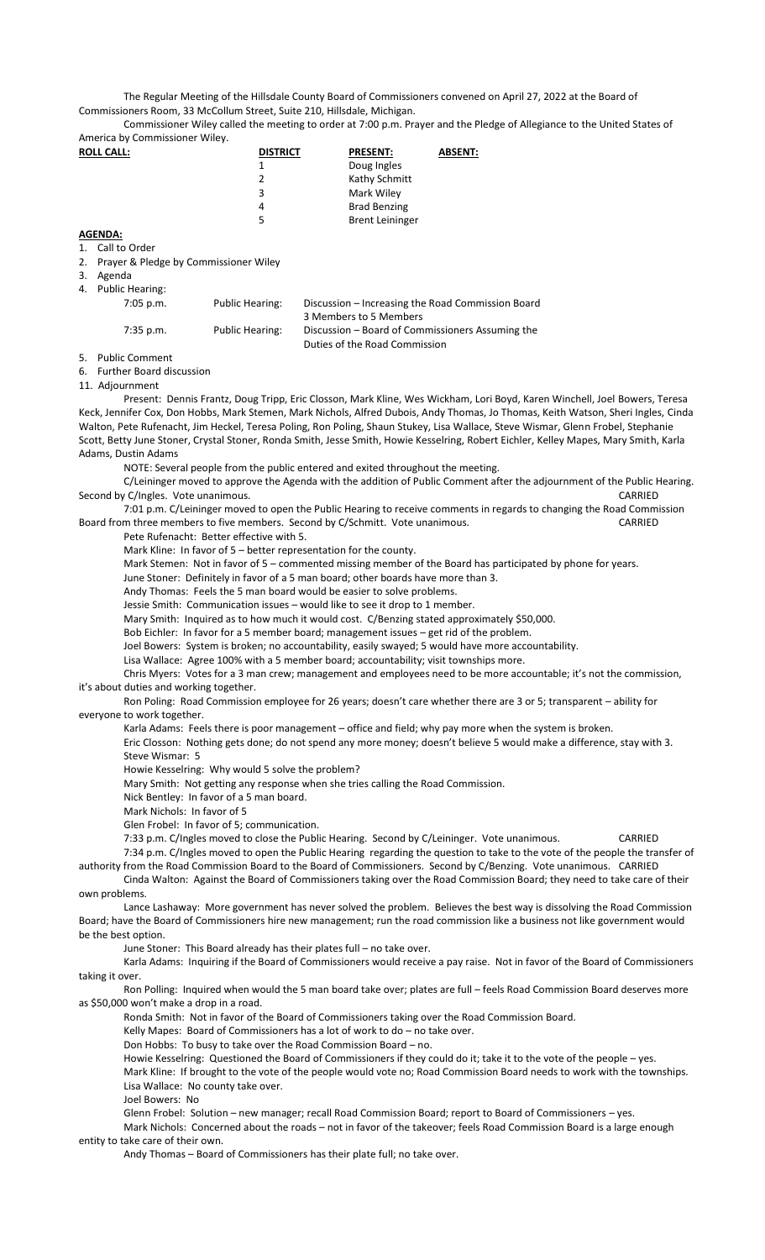The Regular Meeting of the Hillsdale County Board of Commissioners convened on April 27, 2022 at the Board of Commissioners Room, 33 McCollum Street, Suite 210, Hillsdale, Michigan.

Commissioner Wiley called the meeting to order at 7:00 p.m. Prayer and the Pledge of Allegiance to the United States of America by Commissioner Wiley.

| <b>ROLL CALL:</b>       | <b>DISTRICT</b> | <b>PRESENT:</b>        | <b>ABSENT:</b> |
|-------------------------|-----------------|------------------------|----------------|
|                         |                 | Doug Ingles            |                |
|                         | 2               | Kathy Schmitt          |                |
|                         | 3               | Mark Wiley             |                |
|                         | 4               | <b>Brad Benzing</b>    |                |
|                         | 5               | <b>Brent Leininger</b> |                |
| $A$ $A$ $B$ $A$ $A$ $A$ |                 |                        |                |

**AGENDA:** 1. Call to Order

2. Prayer & Pledge by Commissioner Wiley

3. Agenda

4. Public Hearing:

| $7:05$ p.m. | <b>Public Hearing:</b> | Discussion – Increasing the Road Commission Board |
|-------------|------------------------|---------------------------------------------------|
|             |                        | 3 Members to 5 Members                            |
| $7:35$ p.m. | <b>Public Hearing:</b> | Discussion – Board of Commissioners Assuming the  |
|             |                        | Duties of the Road Commission                     |

5. Public Comment

6. Further Board discussion

11. Adjournment

Present: Dennis Frantz, Doug Tripp, Eric Closson, Mark Kline, Wes Wickham, Lori Boyd, Karen Winchell, Joel Bowers, Teresa Keck, Jennifer Cox, Don Hobbs, Mark Stemen, Mark Nichols, Alfred Dubois, Andy Thomas, Jo Thomas, Keith Watson, Sheri Ingles, Cinda Walton, Pete Rufenacht, Jim Heckel, Teresa Poling, Ron Poling, Shaun Stukey, Lisa Wallace, Steve Wismar, Glenn Frobel, Stephanie Scott, Betty June Stoner, Crystal Stoner, Ronda Smith, Jesse Smith, Howie Kesselring, Robert Eichler, Kelley Mapes, Mary Smith, Karla Adams, Dustin Adams

NOTE: Several people from the public entered and exited throughout the meeting.

C/Leininger moved to approve the Agenda with the addition of Public Comment after the adjournment of the Public Hearing. Second by C/Ingles. Vote unanimous. CARRIED And the second by CARRIED CARRIED And the second by CARRIED CARRIED

7:01 p.m. C/Leininger moved to open the Public Hearing to receive comments in regards to changing the Road Commission Board from three members to five members. Second by C/Schmitt. Vote unanimous. CARRIED

Pete Rufenacht: Better effective with 5.

Mark Kline: In favor of 5 – better representation for the county.

Mark Stemen: Not in favor of 5 – commented missing member of the Board has participated by phone for years.

June Stoner: Definitely in favor of a 5 man board; other boards have more than 3.

Andy Thomas: Feels the 5 man board would be easier to solve problems.

Jessie Smith: Communication issues – would like to see it drop to 1 member.

Mary Smith: Inquired as to how much it would cost. C/Benzing stated approximately \$50,000.

Bob Eichler: In favor for a 5 member board; management issues – get rid of the problem.

Joel Bowers: System is broken; no accountability, easily swayed; 5 would have more accountability.

Lisa Wallace: Agree 100% with a 5 member board; accountability; visit townships more.

Chris Myers: Votes for a 3 man crew; management and employees need to be more accountable; it's not the commission, it's about duties and working together.

Ron Poling: Road Commission employee for 26 years; doesn't care whether there are 3 or 5; transparent – ability for everyone to work together.

Karla Adams: Feels there is poor management – office and field; why pay more when the system is broken.

Eric Closson: Nothing gets done; do not spend any more money; doesn't believe 5 would make a difference, stay with 3. Steve Wismar: 5

Howie Kesselring: Why would 5 solve the problem?

Mary Smith: Not getting any response when she tries calling the Road Commission.

Nick Bentley: In favor of a 5 man board.

Mark Nichols: In favor of 5

Glen Frobel: In favor of 5; communication.

7:33 p.m. C/Ingles moved to close the Public Hearing. Second by C/Leininger. Vote unanimous. CARRIED

7:34 p.m. C/Ingles moved to open the Public Hearing regarding the question to take to the vote of the people the transfer of authority from the Road Commission Board to the Board of Commissioners. Second by C/Benzing. Vote unanimous. CARRIED

Cinda Walton: Against the Board of Commissioners taking over the Road Commission Board; they need to take care of their own problems.

Lance Lashaway: More government has never solved the problem. Believes the best way is dissolving the Road Commission Board; have the Board of Commissioners hire new management; run the road commission like a business not like government would be the best option.

June Stoner: This Board already has their plates full – no take over.

Karla Adams: Inquiring if the Board of Commissioners would receive a pay raise. Not in favor of the Board of Commissioners taking it over.

Ron Polling: Inquired when would the 5 man board take over; plates are full – feels Road Commission Board deserves more as \$50,000 won't make a drop in a road.

Ronda Smith: Not in favor of the Board of Commissioners taking over the Road Commission Board.

Kelly Mapes: Board of Commissioners has a lot of work to do – no take over.

Don Hobbs: To busy to take over the Road Commission Board – no.

Howie Kesselring: Questioned the Board of Commissioners if they could do it; take it to the vote of the people – yes.

Mark Kline: If brought to the vote of the people would vote no; Road Commission Board needs to work with the townships. Lisa Wallace: No county take over.

Joel Bowers: No

Glenn Frobel: Solution – new manager; recall Road Commission Board; report to Board of Commissioners – yes.

Mark Nichols: Concerned about the roads – not in favor of the takeover; feels Road Commission Board is a large enough entity to take care of their own.

Andy Thomas – Board of Commissioners has their plate full; no take over.